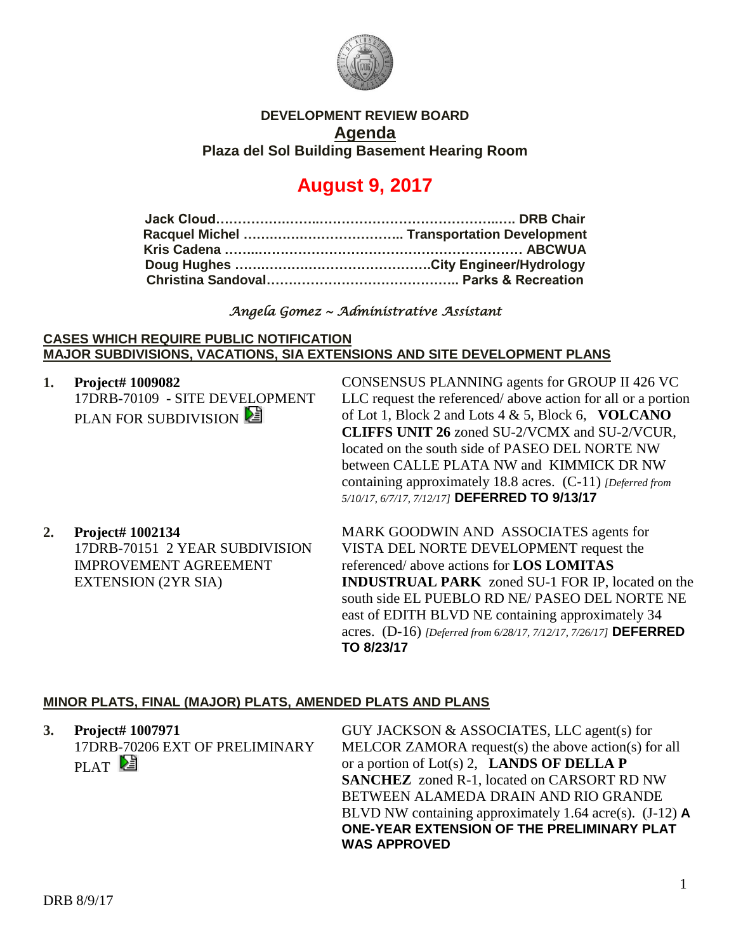

## **DEVELOPMENT REVIEW BOARD Agenda Plaza del Sol Building Basement Hearing Room**

# **August 9, 2017**

## *Angela Gomez ~ Administrative Assistant*

### **CASES WHICH REQUIRE PUBLIC NOTIFICATION MAJOR SUBDIVISIONS, VACATIONS, SIA EXTENSIONS AND SITE DEVELOPMENT PLANS**

**1. Project# 1009082** 17DRB-70109 - SITE DEVELOPMENT PLAN FOR SUBDIVISION

CONSENSUS PLANNING agents for GROUP II 426 VC LLC request the referenced/ above action for all or a portion of Lot 1, Block 2 and Lots 4 & 5, Block 6, **VOLCANO CLIFFS UNIT 26** zoned SU-2/VCMX and SU-2/VCUR, located on the south side of PASEO DEL NORTE NW between CALLE PLATA NW and KIMMICK DR NW containing approximately 18.8 acres. (C-11) *[Deferred from 5/10/17, 6/7/17, 7/12/17]* **DEFERRED TO 9/13/17**

**2. Project# 1002134** 17DRB-70151 2 YEAR SUBDIVISION IMPROVEMENT AGREEMENT EXTENSION (2YR SIA)

MARK GOODWIN AND ASSOCIATES agents for VISTA DEL NORTE DEVELOPMENT request the referenced/ above actions for **LOS LOMITAS INDUSTRUAL PARK** zoned SU-1 FOR IP, located on the south side EL PUEBLO RD NE/ PASEO DEL NORTE NE east of EDITH BLVD NE containing approximately 34 acres. (D-16) *[Deferred from 6/28/17, 7/12/17, 7/26/17]* **DEFERRED TO 8/23/17**

## **MINOR PLATS, FINAL (MAJOR) PLATS, AMENDED PLATS AND PLANS**

| 3. Project# 1007971            | GUY JACKSON & ASSOCIATES, LLC agent(s) for                |
|--------------------------------|-----------------------------------------------------------|
| 17DRB-70206 EXT OF PRELIMINARY | MELCOR ZAMORA request(s) the above action(s) for all      |
| PLAT <sup>[2</sup>             | or a portion of Lot(s) 2, <b>LANDS OF DELLA P</b>         |
|                                | <b>SANCHEZ</b> zoned R-1, located on CARSORT RD NW        |
|                                | BETWEEN ALAMEDA DRAIN AND RIO GRANDE                      |
|                                | BLVD NW containing approximately 1.64 acre(s). $(J-12)$ A |
|                                | ONE-YEAR EXTENSION OF THE PRELIMINARY PLAT                |
|                                | <b>WAS APPROVED</b>                                       |